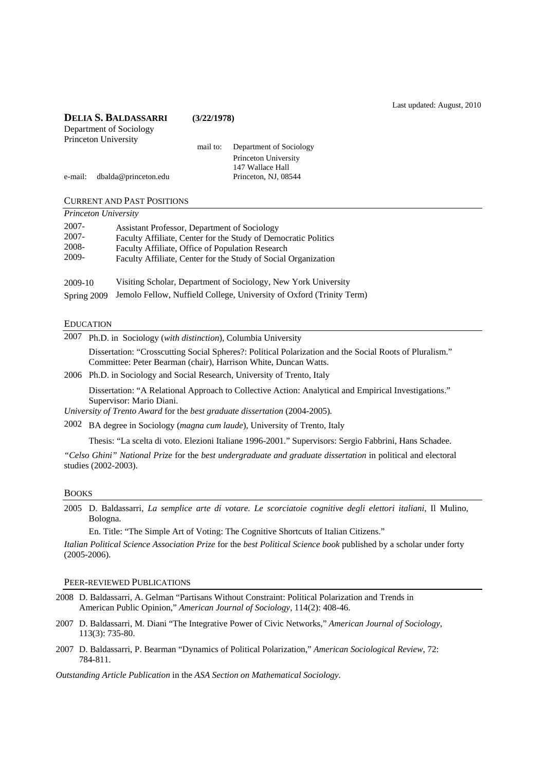Last updated: August, 2010

| <b>DELIA S. BALDASSARRI</b> |                         | (3/22/1978) |                         |  |
|-----------------------------|-------------------------|-------------|-------------------------|--|
|                             | Department of Sociology |             |                         |  |
|                             | Princeton University    |             |                         |  |
|                             |                         | mail to:    | Department of Sociology |  |
|                             |                         |             | Princeton University    |  |
|                             |                         |             | 147 Wallace Hall        |  |
| e-mail:                     | dbalda@princeton.edu    |             | Princeton, NJ, 08544    |  |
|                             |                         |             |                         |  |
|                             |                         |             |                         |  |

CURRENT AND PAST POSITIONS *Princeton University*

| Thursday only the surv           |                                                                                                                                                                                                                                      |
|----------------------------------|--------------------------------------------------------------------------------------------------------------------------------------------------------------------------------------------------------------------------------------|
| 2007-<br>2007-<br>2008-<br>2009- | Assistant Professor, Department of Sociology<br>Faculty Affiliate, Center for the Study of Democratic Politics<br>Faculty Affiliate, Office of Population Research<br>Faculty Affiliate, Center for the Study of Social Organization |
| 2009-10                          | Visiting Scholar, Department of Sociology, New York University                                                                                                                                                                       |

Spring 2009 Jemolo Fellow, Nuffield College, University of Oxford (Trinity Term)

## EDUCATION

| 2007 | Ph.D. in Sociology (with distinction), Columbia University                                              |  |  |  |  |
|------|---------------------------------------------------------------------------------------------------------|--|--|--|--|
|      | Dissertation: "Crosscutting Social Spheres?: Political Polarization and the Social Roots of Pluralism." |  |  |  |  |
|      | Committee: Peter Bearman (chair), Harrison White, Duncan Watts.                                         |  |  |  |  |
|      | 2006 Ph.D. in Sociology and Social Research, University of Trento, Italy                                |  |  |  |  |

 Dissertation: "A Relational Approach to Collective Action: Analytical and Empirical Investigations." Supervisor: Mario Diani.

*University of Trento Award* for the *best graduate dissertation* (2004-2005)*.*

2002 BA degree in Sociology (*magna cum laude*), University of Trento, Italy

Thesis: "La scelta di voto. Elezioni Italiane 1996-2001." Supervisors: Sergio Fabbrini, Hans Schadee.

*"Celso Ghini" National Prize* for the *best undergraduate and graduate dissertation* in political and electoral studies (2002-2003).

### BOOKS

2005 D. Baldassarri, *La semplice arte di votare. Le scorciatoie cognitive degli elettori italiani*, Il Mulino, Bologna.

En. Title: "The Simple Art of Voting: The Cognitive Shortcuts of Italian Citizens."

*Italian Political Science Association Prize* for the *best Political Science book* published by a scholar under forty (2005-2006).

PEER-REVIEWED PUBLICATIONS

- 2008 D. Baldassarri, A. Gelman "Partisans Without Constraint: Political Polarization and Trends in American Public Opinion," *American Journal of Sociology*, 114(2): 408-46.
- 2007 D. Baldassarri, M. Diani "The Integrative Power of Civic Networks," *American Journal of Sociology*, 113(3): 735-80.
- 2007 D. Baldassarri, P. Bearman "Dynamics of Political Polarization," *American Sociological Review*, 72: 784-811.

*Outstanding Article Publication* in the *ASA Section on Mathematical Sociology*.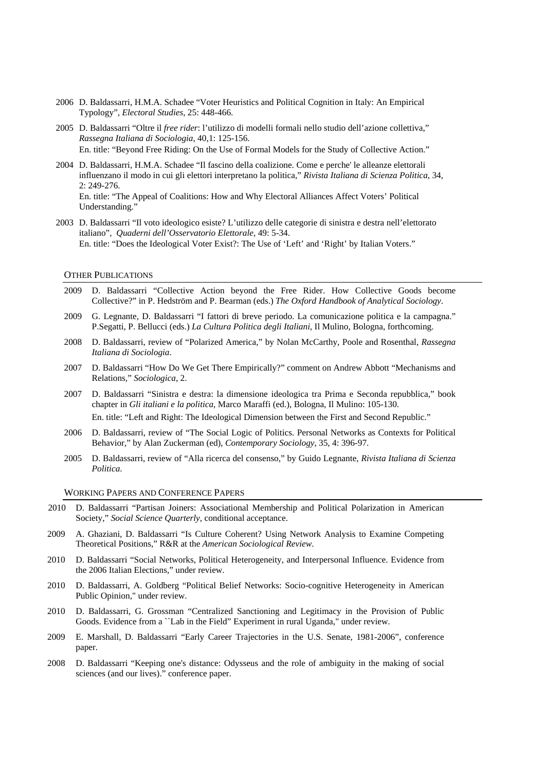- 2006 D. Baldassarri, H.M.A. Schadee "Voter Heuristics and Political Cognition in Italy: An Empirical Typology", *Electoral Studies*, 25: 448-466.
- 2005 D. Baldassarri "Oltre il *free rider*: l'utilizzo di modelli formali nello studio dell'azione collettiva," *Rassegna Italiana di Sociologia*, 40,1: 125-156. En. title: "Beyond Free Riding: On the Use of Formal Models for the Study of Collective Action."
- 2004 D. Baldassarri, H.M.A. Schadee "Il fascino della coalizione. Come e perche' le alleanze elettorali influenzano il modo in cui gli elettori interpretano la politica," *Rivista Italiana di Scienza Politica*, 34, 2: 249-276.

En. title: "The Appeal of Coalitions: How and Why Electoral Alliances Affect Voters' Political Understanding."

2003 D. Baldassarri "Il voto ideologico esiste? L'utilizzo delle categorie di sinistra e destra nell'elettorato italiano", *Quaderni dell'Osservatorio Elettorale*, 49: 5-34. En. title: "Does the Ideological Voter Exist?: The Use of 'Left' and 'Right' by Italian Voters."

## OTHER PUBLICATIONS

- 2009 D. Baldassarri "Collective Action beyond the Free Rider. How Collective Goods become Collective?" in P. Hedström and P. Bearman (eds.) *The Oxford Handbook of Analytical Sociology*.
- 2009 G. Legnante, D. Baldassarri "I fattori di breve periodo. La comunicazione politica e la campagna." P.Segatti, P. Bellucci (eds.) *La Cultura Politica degli Italiani*, Il Mulino, Bologna, forthcoming.
- 2008 D. Baldassarri, review of "Polarized America," by Nolan McCarthy, Poole and Rosenthal, *Rassegna Italiana di Sociologia*.
- 2007 D. Baldassarri "How Do We Get There Empirically?" comment on Andrew Abbott "Mechanisms and Relations," *Sociologica*, 2.
- 2007 D. Baldassarri "Sinistra e destra: la dimensione ideologica tra Prima e Seconda repubblica," book chapter in *Gli italiani e la politica*, Marco Maraffi (ed.), Bologna, Il Mulino: 105-130. En. title: "Left and Right: The Ideological Dimension between the First and Second Republic."
- 2006 D. Baldassarri, review of "The Social Logic of Politics. Personal Networks as Contexts for Political Behavior," by Alan Zuckerman (ed), *Contemporary Sociology*, 35, 4: 396-97.
- 2005 D. Baldassarri, review of "Alla ricerca del consenso," by Guido Legnante, *Rivista Italiana di Scienza Politica*.

## WORKING PAPERS AND CONFERENCE PAPERS

- 2010 D. Baldassarri "Partisan Joiners: Associational Membership and Political Polarization in American Society," *Social Science Quarterly,* conditional acceptance.
- 2009 A. Ghaziani, D. Baldassarri "Is Culture Coherent? Using Network Analysis to Examine Competing Theoretical Positions," R&R at the *American Sociological Review*.
- 2010 D. Baldassarri "Social Networks, Political Heterogeneity, and Interpersonal Influence. Evidence from the 2006 Italian Elections," under review.
- 2010 D. Baldassarri, A. Goldberg "Political Belief Networks: Socio-cognitive Heterogeneity in American Public Opinion," under review.
- 2010 D. Baldassarri, G. Grossman "Centralized Sanctioning and Legitimacy in the Provision of Public Goods. Evidence from a ``Lab in the Field" Experiment in rural Uganda," under review.
- 2009 E. Marshall, D. Baldassarri "Early Career Trajectories in the U.S. Senate, 1981-2006", conference paper.
- 2008 D. Baldassarri "Keeping one's distance: Odysseus and the role of ambiguity in the making of social sciences (and our lives)." conference paper.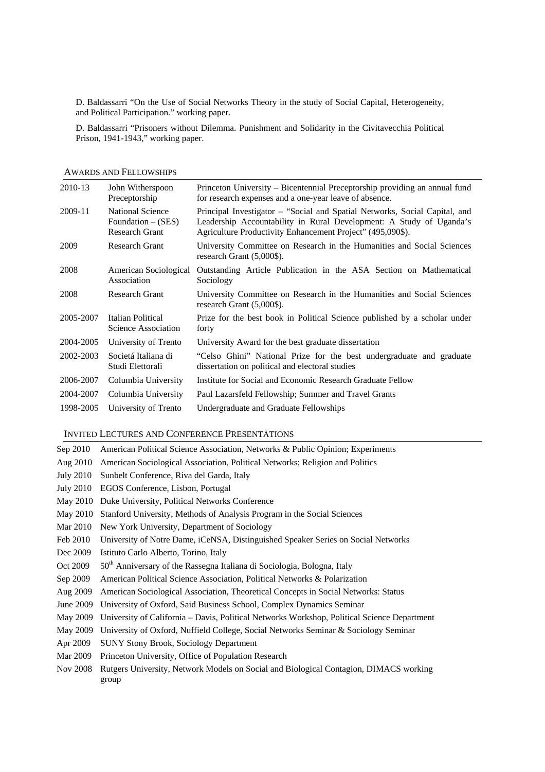D. Baldassarri "On the Use of Social Networks Theory in the study of Social Capital, Heterogeneity, and Political Participation." working paper.

 D. Baldassarri "Prisoners without Dilemma. Punishment and Solidarity in the Civitavecchia Political Prison, 1941-1943," working paper.

| 2010-13   | John Witherspoon<br>Preceptorship                                        | Princeton University – Bicentennial Preceptorship providing an annual fund<br>for research expenses and a one-year leave of absence.                                                                            |
|-----------|--------------------------------------------------------------------------|-----------------------------------------------------------------------------------------------------------------------------------------------------------------------------------------------------------------|
| 2009-11   | <b>National Science</b><br>Foundation $-$ (SES)<br><b>Research Grant</b> | Principal Investigator - "Social and Spatial Networks, Social Capital, and<br>Leadership Accountability in Rural Development: A Study of Uganda's<br>Agriculture Productivity Enhancement Project" (495,090\$). |
| 2009      | <b>Research Grant</b>                                                    | University Committee on Research in the Humanities and Social Sciences<br>research Grant (5,000\$).                                                                                                             |
| 2008      | American Sociological<br>Association                                     | Outstanding Article Publication in the ASA Section on Mathematical<br>Sociology                                                                                                                                 |
| 2008      | <b>Research Grant</b>                                                    | University Committee on Research in the Humanities and Social Sciences<br>research Grant (5,000\$).                                                                                                             |
| 2005-2007 | Italian Political<br>Science Association                                 | Prize for the best book in Political Science published by a scholar under<br>forty                                                                                                                              |
| 2004-2005 | University of Trento                                                     | University Award for the best graduate dissertation                                                                                                                                                             |
| 2002-2003 | Societá Italiana di<br>Studi Elettorali                                  | "Celso Ghini" National Prize for the best undergraduate and graduate<br>dissertation on political and electoral studies                                                                                         |
| 2006-2007 | Columbia University                                                      | Institute for Social and Economic Research Graduate Fellow                                                                                                                                                      |
| 2004-2007 | Columbia University                                                      | Paul Lazarsfeld Fellowship; Summer and Travel Grants                                                                                                                                                            |
| 1998-2005 | University of Trento                                                     | Undergraduate and Graduate Fellowships                                                                                                                                                                          |

#### AWARDS AND FELLOWSHIPS

#### INVITED LECTURES AND CONFERENCE PRESENTATIONS

- Sep 2010 American Political Science Association, Networks & Public Opinion; Experiments
- Aug 2010 American Sociological Association, Political Networks; Religion and Politics
- July 2010 Sunbelt Conference, Riva del Garda, Italy
- July 2010 EGOS Conference, Lisbon, Portugal
- May 2010 Duke University, Political Networks Conference
- May 2010 Stanford University, Methods of Analysis Program in the Social Sciences
- Mar 2010 New York University, Department of Sociology
- Feb 2010 University of Notre Dame, iCeNSA, Distinguished Speaker Series on Social Networks
- Dec 2009 Istituto Carlo Alberto, Torino, Italy
- Oct 2009 50<sup>th</sup> Anniversary of the Rassegna Italiana di Sociologia, Bologna, Italy
- Sep 2009 American Political Science Association, Political Networks & Polarization
- Aug 2009 American Sociological Association, Theoretical Concepts in Social Networks: Status
- June 2009 University of Oxford, Said Business School, Complex Dynamics Seminar
- May 2009 University of California Davis, Political Networks Workshop, Political Science Department
- May 2009 University of Oxford, Nuffield College, Social Networks Seminar & Sociology Seminar
- Apr 2009 SUNY Stony Brook, Sociology Department
- Mar 2009 Princeton University, Office of Population Research
- Nov 2008 Rutgers University, Network Models on Social and Biological Contagion, DIMACS working group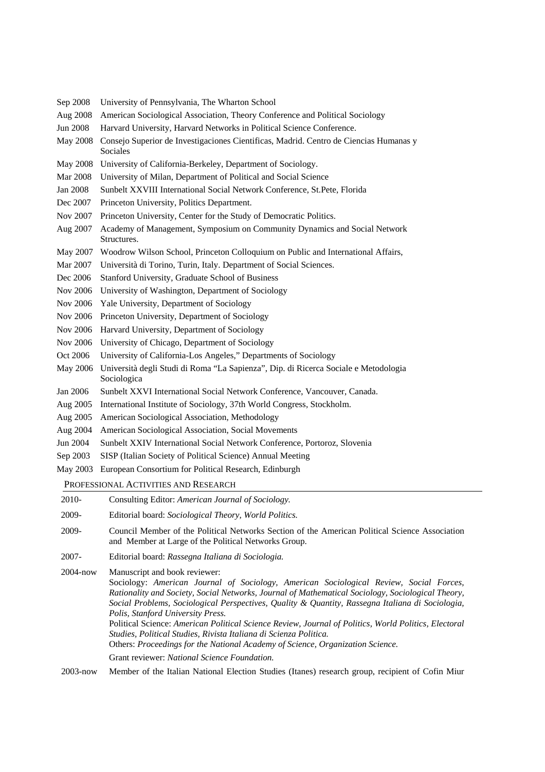- Sep 2008 University of Pennsylvania, The Wharton School
- Aug 2008 American Sociological Association, Theory Conference and Political Sociology
- Jun 2008 Harvard University, Harvard Networks in Political Science Conference.
- May 2008 Consejo Superior de Investigaciones Cientificas, Madrid. Centro de Ciencias Humanas y Sociales
- May 2008 University of California-Berkeley, Department of Sociology.
- Mar 2008 University of Milan, Department of Political and Social Science
- Jan 2008 Sunbelt XXVIII International Social Network Conference, St.Pete, Florida
- Dec 2007 Princeton University, Politics Department.
- Nov 2007 Princeton University, Center for the Study of Democratic Politics.
- Aug 2007 Academy of Management, Symposium on Community Dynamics and Social Network **Structures**.
- May 2007 Woodrow Wilson School, Princeton Colloquium on Public and International Affairs,
- Mar 2007 Università di Torino, Turin, Italy. Department of Social Sciences.
- Dec 2006 Stanford University, Graduate School of Business
- Nov 2006 University of Washington, Department of Sociology
- Nov 2006 Yale University, Department of Sociology
- Nov 2006 Princeton University, Department of Sociology
- Nov 2006 Harvard University, Department of Sociology
- Nov 2006 University of Chicago, Department of Sociology
- Oct 2006 University of California-Los Angeles," Departments of Sociology
- May 2006 Università degli Studi di Roma "La Sapienza", Dip. di Ricerca Sociale e Metodologia Sociologica
- Jan 2006 Sunbelt XXVI International Social Network Conference, Vancouver, Canada.
- Aug 2005 International Institute of Sociology, 37th World Congress, Stockholm.
- Aug 2005 American Sociological Association, Methodology
- Aug 2004 American Sociological Association, Social Movements
- Jun 2004 Sunbelt XXIV International Social Network Conference, Portoroz, Slovenia
- Sep 2003 SISP (Italian Society of Political Science) Annual Meeting
- May 2003 European Consortium for Political Research, Edinburgh

PROFESSIONAL ACTIVITIES AND RESEARCH

| 2010- |  | Consulting Editor: American Journal of Sociology. |  |
|-------|--|---------------------------------------------------|--|
|-------|--|---------------------------------------------------|--|

- 2009- Editorial board: *Sociological Theory, World Politics.*
- 2009- Council Member of the Political Networks Section of the American Political Science Association and Member at Large of the Political Networks Group.
- 2007- Editorial board: *Rassegna Italiana di Sociologia.*

2004-now Manuscript and book reviewer: Sociology: *American Journal of Sociology, American Sociological Review, Social Forces, Rationality and Society, Social Networks, Journal of Mathematical Sociology, Sociological Theory, Social Problems, Sociological Perspectives, Quality & Quantity, Rassegna Italiana di Sociologia, Polis, Stanford University Press.*  Political Science: *American Political Science Review, Journal of Politics, World Politics, Electoral Studies, Political Studies, Rivista Italiana di Scienza Politica.*  Others: *Proceedings for the National Academy of Science, Organization Science.*  Grant reviewer: *National Science Foundation.*

2003-now Member of the Italian National Election Studies (Itanes) research group, recipient of Cofin Miur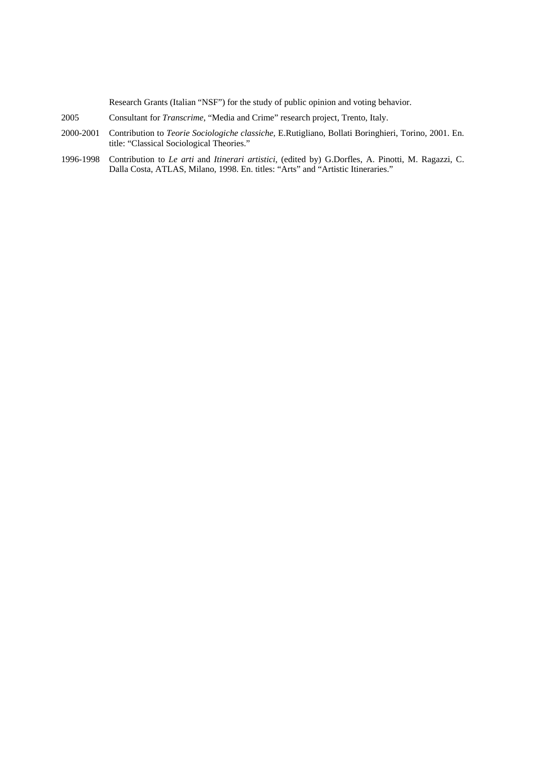Research Grants (Italian "NSF") for the study of public opinion and voting behavior.

- 2005 Consultant for *Transcrime*, "Media and Crime" research project, Trento, Italy.
- 2000-2001 Contribution to *Teorie Sociologiche classiche,* E.Rutigliano, Bollati Boringhieri, Torino, 2001. En. title: "Classical Sociological Theories."
- 1996-1998 Contribution to *Le arti* and *Itinerari artistici*, (edited by) G.Dorfles, A. Pinotti, M. Ragazzi, C. Dalla Costa, ATLAS, Milano, 1998. En. titles: "Arts" and "Artistic Itineraries."